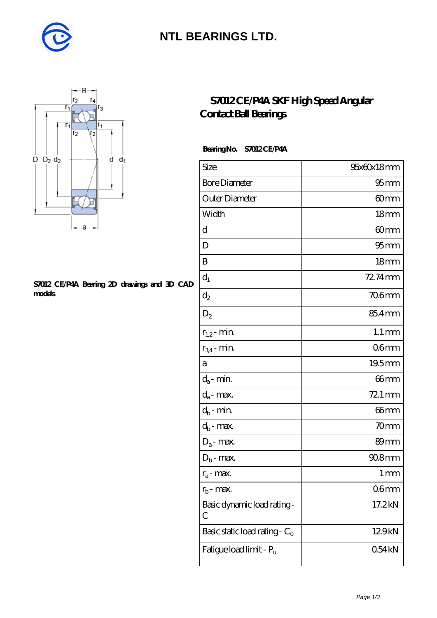

### **[NTL BEARINGS LTD.](https://diabetesfriends.net)**



#### **[S7012 CE/P4A Bearing 2D drawings and 3D CAD](https://diabetesfriends.net/pic-590691.html) [models](https://diabetesfriends.net/pic-590691.html)**

### **[S7012 CE/P4A SKF High Speed Angular](https://diabetesfriends.net/skf-bearing/s7012-ce-p4a.html) [Contact Ball Bearings](https://diabetesfriends.net/skf-bearing/s7012-ce-p4a.html)**

### **Bearing No. S7012 CE/P4A**

| Size                             | 95x60x18mm          |
|----------------------------------|---------------------|
| <b>Bore Diameter</b>             | $95 \text{mm}$      |
| Outer Diameter                   | 60mm                |
| Width                            | 18 <sub>mm</sub>    |
| d                                | 60mm                |
| D                                | 95 <sub>mm</sub>    |
| B                                | 18 <sub>mm</sub>    |
| $\mathrm{d}_{1}$                 | 72.74mm             |
| $\mathrm{d}_2$                   | $706$ mm            |
| $D_2$                            | 85.4mm              |
| $r_{1,2}$ - min.                 | $1.1 \,\mathrm{mm}$ |
| $r_{34}$ - min.                  | 06 <sub>mm</sub>    |
| а                                | 19.5mm              |
| $d_a$ - min.                     | 66 <sub>mm</sub>    |
| $d_a$ - max.                     | 72.1 mm             |
| $d_b$ - min.                     | 66 <sub>mm</sub>    |
| $d_b$ - max.                     | 70mm                |
| $D_a$ - max.                     | 89 <sub>mm</sub>    |
| $\mathbf{D}_\mathrm{b}$ - max.   | $908$ mm            |
| $r_a$ - max.                     | 1 mm                |
| $r_{\rm b}$ - max.               | 06 <sub>mm</sub>    |
| Basic dynamic load rating-<br>С  | 17.2kN              |
| Basic static load rating - $C_0$ | 129kN               |
| Fatigue load limit - Pu          | 054kN               |
|                                  |                     |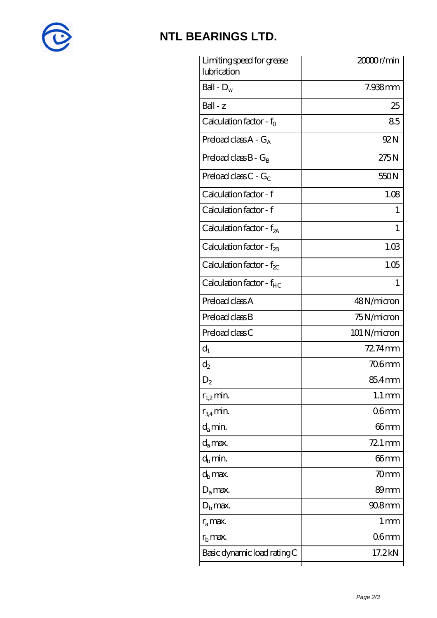

# **[NTL BEARINGS LTD.](https://diabetesfriends.net)**

| Limiting speed for grease<br>lubrication | 20000r/min          |
|------------------------------------------|---------------------|
| Ball - $D_w$                             | 7.938mm             |
| $Ball - z$                               | 25                  |
| Calculation factor - $f_0$               | 85                  |
| Preload class $A - G_A$                  | 92N                 |
| Preload class $B - G_B$                  | 275N                |
| Preload class C - $G_C$                  | 550N                |
| Calculation factor - f                   | 1.08                |
| Calculation factor - f                   | T                   |
| Calculation factor - $f_{2A}$            | 1                   |
| Calculation factor - $f_{\mathcal{B}}$   | 1.03                |
| Calculation factor - $f_{\chi}$          | 1.05                |
| Calculation factor - f <sub>HC</sub>     | 1                   |
| Preload class A                          | 48N/micron          |
| Preload class B                          | 75N/micron          |
| Preload class C                          | 101 N/micron        |
| $d_1$                                    | 72.74mm             |
| $d_2$                                    | <b>706mm</b>        |
| $\mathrm{D}_2$                           | 85.4mm              |
| $r_{1,2}$ min.                           | $1.1 \,\mathrm{mm}$ |
| $r_{34}$ min.                            | 06 <sub>mm</sub>    |
| $d_{a}$ min.                             | $66$ mm             |
| $d_a$ max.                               | 72.1 mm             |
| $d_h$ min.                               | 66mm                |
| $d_h$ max.                               | 70mm                |
| $D_a$ max.                               | 89mm                |
| $D_{\rm b}$ max.                         | $908$ mm            |
| $r_a$ max.                               | 1 mm                |
| $r_{\rm b}$ max.                         | 06 <sub>mm</sub>    |
| Basic dynamic load rating C              | 17.2kN              |